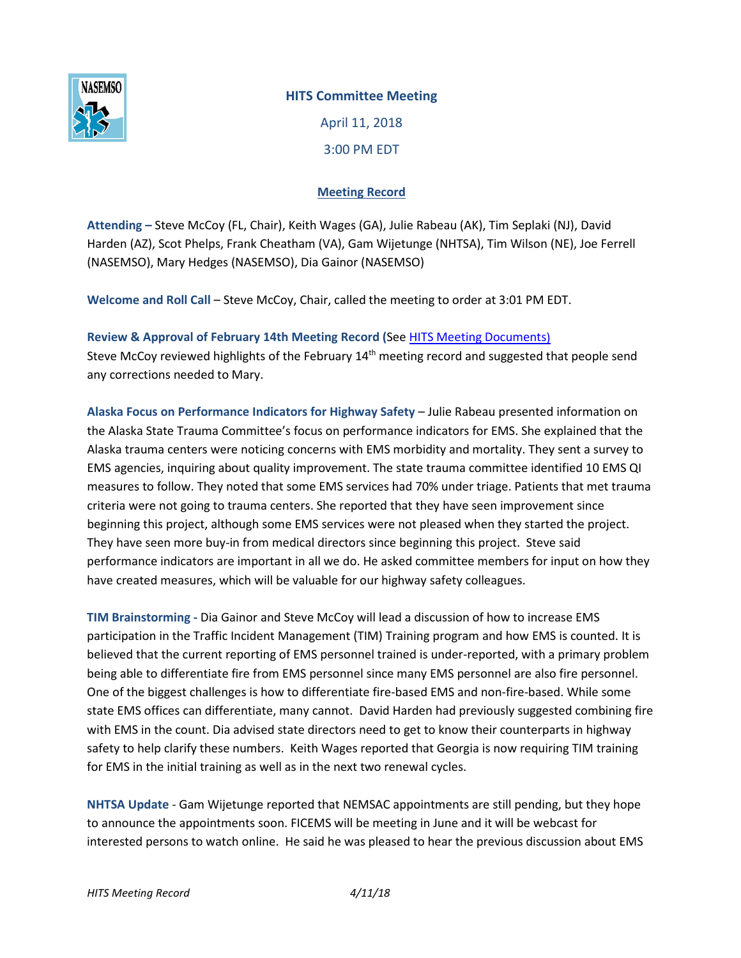

## **HITS Committee Meeting**

April 11, 2018 3:00 PM EDT

## **Meeting Record**

**Attending –** Steve McCoy (FL, Chair), Keith Wages (GA), Julie Rabeau (AK), Tim Seplaki (NJ), David Harden (AZ), Scot Phelps, Frank Cheatham (VA), Gam Wijetunge (NHTSA), Tim Wilson (NE), Joe Ferrell (NASEMSO), Mary Hedges (NASEMSO), Dia Gainor (NASEMSO)

**Welcome and Roll Call** – Steve McCoy, Chair, called the meeting to order at 3:01 PM EDT.

**Review & Approval of February 14th Meeting Record (**See [HITS Meeting Documents\)](http://nasemso.org/Projects/HITS/HITSCommitteeMeetings.asp) Steve McCoy reviewed highlights of the February 14<sup>th</sup> meeting record and suggested that people send any corrections needed to Mary.

**Alaska Focus on Performance Indicators for Highway Safety** – Julie Rabeau presented information on the Alaska State Trauma Committee's focus on performance indicators for EMS. She explained that the Alaska trauma centers were noticing concerns with EMS morbidity and mortality. They sent a survey to EMS agencies, inquiring about quality improvement. The state trauma committee identified 10 EMS QI measures to follow. They noted that some EMS services had 70% under triage. Patients that met trauma criteria were not going to trauma centers. She reported that they have seen improvement since beginning this project, although some EMS services were not pleased when they started the project. They have seen more buy-in from medical directors since beginning this project. Steve said performance indicators are important in all we do. He asked committee members for input on how they have created measures, which will be valuable for our highway safety colleagues.

**TIM Brainstorming -** Dia Gainor and Steve McCoy will lead a discussion of how to increase EMS participation in the Traffic Incident Management (TIM) Training program and how EMS is counted. It is believed that the current reporting of EMS personnel trained is under-reported, with a primary problem being able to differentiate fire from EMS personnel since many EMS personnel are also fire personnel. One of the biggest challenges is how to differentiate fire-based EMS and non-fire-based. While some state EMS offices can differentiate, many cannot. David Harden had previously suggested combining fire with EMS in the count. Dia advised state directors need to get to know their counterparts in highway safety to help clarify these numbers. Keith Wages reported that Georgia is now requiring TIM training for EMS in the initial training as well as in the next two renewal cycles.

**NHTSA Update** - Gam Wijetunge reported that NEMSAC appointments are still pending, but they hope to announce the appointments soon. FICEMS will be meeting in June and it will be webcast for interested persons to watch online. He said he was pleased to hear the previous discussion about EMS